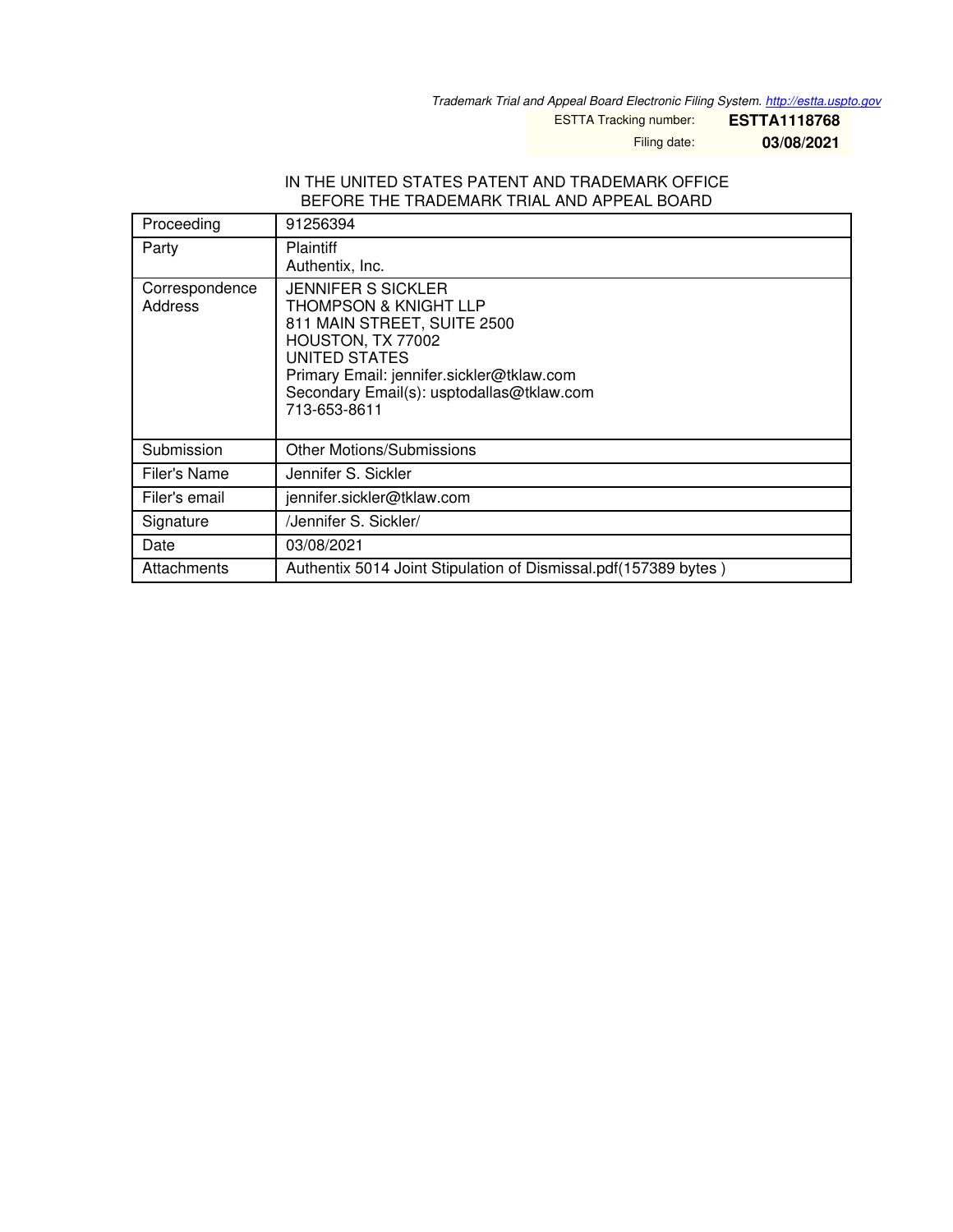*Trademark Trial and Appeal Board Electronic Filing System. <http://estta.uspto.gov>*

ESTTA Tracking number: **ESTTA1118768**

Filing date: **03/08/2021**

## IN THE UNITED STATES PATENT AND TRADEMARK OFFICE BEFORE THE TRADEMARK TRIAL AND APPEAL BOARD

| Proceeding                | 91256394                                                                                                                                                                                                                                     |  |
|---------------------------|----------------------------------------------------------------------------------------------------------------------------------------------------------------------------------------------------------------------------------------------|--|
| Party                     | <b>Plaintiff</b><br>Authentix, Inc.                                                                                                                                                                                                          |  |
| Correspondence<br>Address | <b>JENNIFER S SICKLER</b><br><b>THOMPSON &amp; KNIGHT LLP</b><br>811 MAIN STREET, SUITE 2500<br>HOUSTON, TX 77002<br>UNITED STATES<br>Primary Email: jennifer.sickler@tklaw.com<br>Secondary Email(s): usptodallas@tklaw.com<br>713-653-8611 |  |
| Submission                | Other Motions/Submissions                                                                                                                                                                                                                    |  |
| Filer's Name              | Jennifer S. Sickler                                                                                                                                                                                                                          |  |
| Filer's email             | jennifer.sickler@tklaw.com                                                                                                                                                                                                                   |  |
| Signature                 | /Jennifer S. Sickler/                                                                                                                                                                                                                        |  |
| Date                      | 03/08/2021                                                                                                                                                                                                                                   |  |
| Attachments               | Authentix 5014 Joint Stipulation of Dismissal.pdf(157389 bytes)                                                                                                                                                                              |  |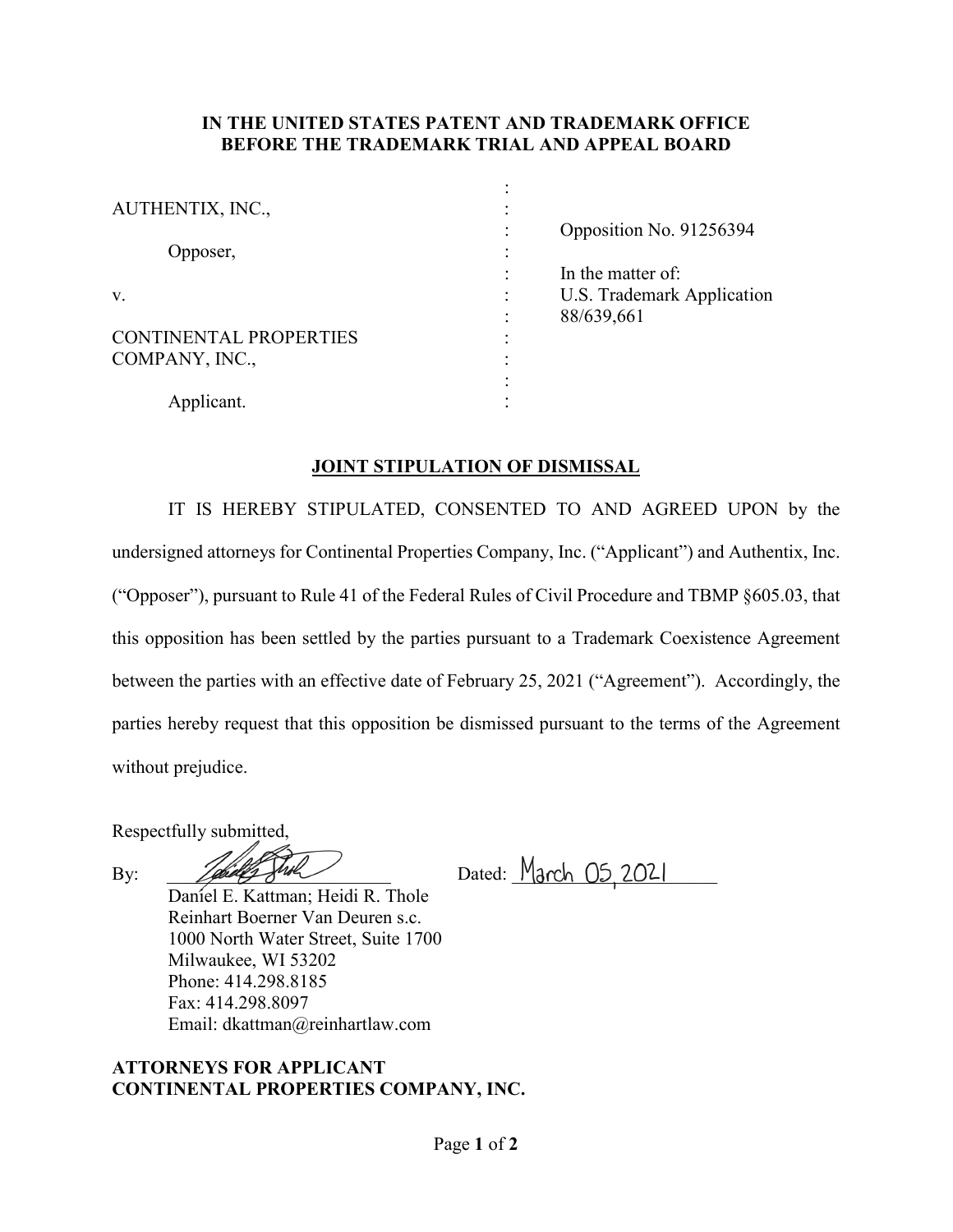## **IN THE UNITED STATES PATENT AND TRADEMARK OFFICE BEFORE THE TRADEMARK TRIAL AND APPEAL BOARD**

| AUTHENTIX, INC.,              |   |                            |
|-------------------------------|---|----------------------------|
|                               |   | Opposition No. 91256394    |
| Opposer,                      | ٠ |                            |
|                               |   | In the matter of:          |
| V.                            | ٠ | U.S. Trademark Application |
|                               | ٠ | 88/639,661                 |
| <b>CONTINENTAL PROPERTIES</b> | ٠ |                            |
| COMPANY, INC.,                | ٠ |                            |
|                               | ٠ |                            |
| Applicant.                    |   |                            |

## **JOINT STIPULATION OF DISMISSAL**

IT IS HEREBY STIPULATED, CONSENTED TO AND AGREED UPON by the undersigned attorneys for Continental Properties Company, Inc. ("Applicant") and Authentix, Inc. ("Opposer"), pursuant to Rule 41 of the Federal Rules of Civil Procedure and TBMP §605.03, that this opposition has been settled by the parties pursuant to a Trademark Coexistence Agreement between the parties with an effective date of February 25, 2021 ("Agreement"). Accordingly, the parties hereby request that this opposition be dismissed pursuant to the terms of the Agreement without prejudice.

Respectfully submitted,

By: 2021

Daniel E. Kattman; Heidi R. Thole Reinhart Boerner Van Deuren s.c. 1000 North Water Street, Suite 1700 Milwaukee, WI 53202 Phone: 414.298.8185 Fax: 414.298.8097 Email: dkattman@reinhartlaw.com

## **ATTORNEYS FOR APPLICANT CONTINENTAL PROPERTIES COMPANY, INC.**